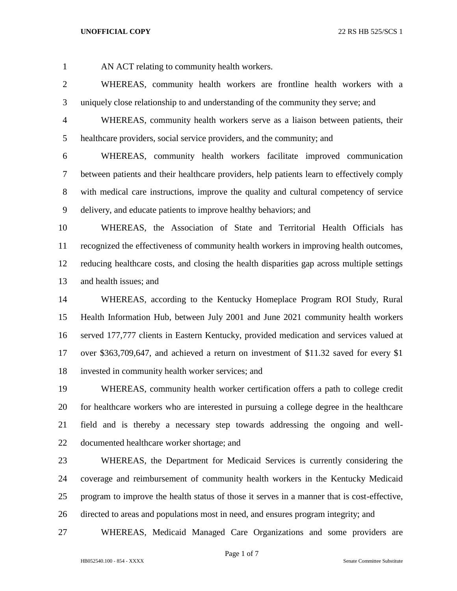AN ACT relating to community health workers.

 WHEREAS, community health workers are frontline health workers with a uniquely close relationship to and understanding of the community they serve; and

 WHEREAS, community health workers serve as a liaison between patients, their healthcare providers, social service providers, and the community; and

 WHEREAS, community health workers facilitate improved communication between patients and their healthcare providers, help patients learn to effectively comply with medical care instructions, improve the quality and cultural competency of service delivery, and educate patients to improve healthy behaviors; and

 WHEREAS, the Association of State and Territorial Health Officials has recognized the effectiveness of community health workers in improving health outcomes, reducing healthcare costs, and closing the health disparities gap across multiple settings and health issues; and

 WHEREAS, according to the Kentucky Homeplace Program ROI Study, Rural Health Information Hub, between July 2001 and June 2021 community health workers served 177,777 clients in Eastern Kentucky, provided medication and services valued at over \$363,709,647, and achieved a return on investment of \$11.32 saved for every \$1 invested in community health worker services; and

 WHEREAS, community health worker certification offers a path to college credit for healthcare workers who are interested in pursuing a college degree in the healthcare field and is thereby a necessary step towards addressing the ongoing and well-documented healthcare worker shortage; and

 WHEREAS, the Department for Medicaid Services is currently considering the coverage and reimbursement of community health workers in the Kentucky Medicaid program to improve the health status of those it serves in a manner that is cost-effective, directed to areas and populations most in need, and ensures program integrity; and

WHEREAS, Medicaid Managed Care Organizations and some providers are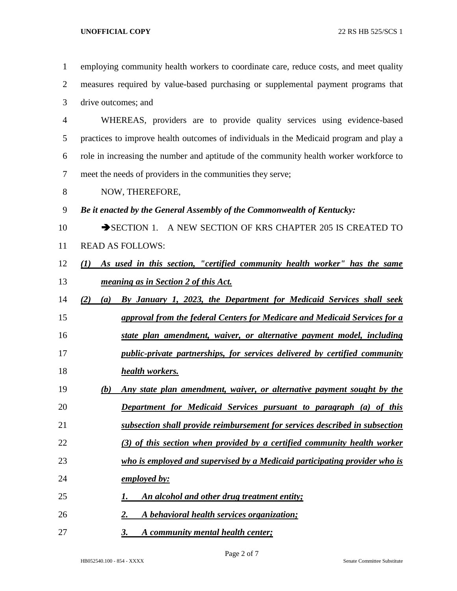employing community health workers to coordinate care, reduce costs, and meet quality measures required by value-based purchasing or supplemental payment programs that drive outcomes; and WHEREAS, providers are to provide quality services using evidence-based practices to improve health outcomes of individuals in the Medicaid program and play a role in increasing the number and aptitude of the community health worker workforce to meet the needs of providers in the communities they serve; NOW, THEREFORE, *Be it enacted by the General Assembly of the Commonwealth of Kentucky:* 10 SECTION 1. A NEW SECTION OF KRS CHAPTER 205 IS CREATED TO READ AS FOLLOWS: *(1) As used in this section, "certified community health worker" has the same meaning as in Section 2 of this Act. (2) (a) By January 1, 2023, the Department for Medicaid Services shall seek approval from the federal Centers for Medicare and Medicaid Services for a state plan amendment, waiver, or alternative payment model, including public-private partnerships, for services delivered by certified community health workers. (b) Any state plan amendment, waiver, or alternative payment sought by the Department for Medicaid Services pursuant to paragraph (a) of this subsection shall provide reimbursement for services described in subsection (3) of this section when provided by a certified community health worker who is employed and supervised by a Medicaid participating provider who is employed by: 1. An alcohol and other drug treatment entity; 2. A behavioral health services organization; 3. A community mental health center;*

HB052540.100 - 854 - XXXX Senate Committee Substitute

Page 2 of 7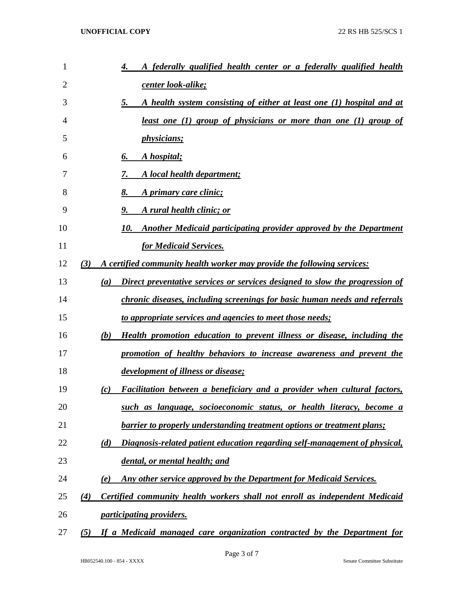| 1  | A federally qualified health center or a federally qualified health<br>4.                        |
|----|--------------------------------------------------------------------------------------------------|
| 2  | <u>center look-alike;</u>                                                                        |
| 3  | A health system consisting of either at least one (1) hospital and at<br>5.                      |
| 4  | <u>least one (1) group of physicians or more than one (1) group of</u>                           |
| 5  | <i>physicians</i> ;                                                                              |
| 6  | A hospital;<br>6.                                                                                |
| 7  | A local health department;<br>7.                                                                 |
| 8  | A primary care clinic;<br>8.                                                                     |
| 9  | 9.<br>A rural health clinic; or                                                                  |
| 10 | Another Medicaid participating provider approved by the Department<br>10.                        |
| 11 | for Medicaid Services.                                                                           |
| 12 | A certified community health worker may provide the following services:<br>(3)                   |
| 13 | Direct preventative services or services designed to slow the progression of<br>$\left(a\right)$ |
| 14 | chronic diseases, including screenings for basic human needs and referrals                       |
| 15 | to appropriate services and agencies to meet those needs;                                        |
| 16 | <b>Health promotion education to prevent illness or disease, including the</b><br>(b)            |
| 17 | promotion of healthy behaviors to increase awareness and prevent the                             |
| 18 | development of illness or disease;                                                               |
| 19 | Facilitation between a beneficiary and a provider when cultural factors,<br>(c)                  |
| 20 | such as language, socioeconomic status, or health literacy, become a                             |
| 21 | <b>barrier to properly understanding treatment options or treatment plans;</b>                   |
| 22 | (d)<br>Diagnosis-related patient education regarding self-management of physical,                |
| 23 | dental, or mental health; and                                                                    |
| 24 | Any other service approved by the Department for Medicaid Services.<br>(e)                       |
| 25 | Certified community health workers shall not enroll as independent Medicaid<br>(4)               |
| 26 | <i><u><b>participating providers.</b></u></i>                                                    |
| 27 | If a Medicaid managed care organization contracted by the Department for<br>(5)                  |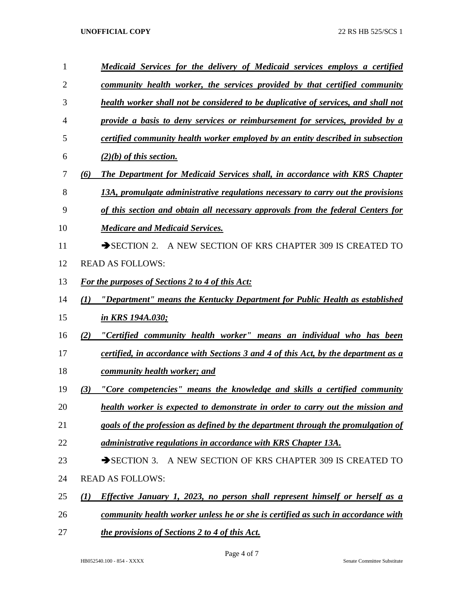| 1              | <u>Medicaid Services for the delivery of Medicaid services employs a certified</u>                      |
|----------------|---------------------------------------------------------------------------------------------------------|
| $\overline{2}$ | <u>community health worker, the services provided by that certified community</u>                       |
| 3              | health worker shall not be considered to be duplicative of services, and shall not                      |
| 4              | provide a basis to deny services or reimbursement for services, provided by a                           |
| 5              | certified community health worker employed by an entity described in subsection                         |
| 6              | $(2)(b)$ of this section.                                                                               |
| 7              | <b>The Department for Medicaid Services shall, in accordance with KRS Chapter</b><br>(6)                |
| 8              | 13A, promulgate administrative regulations necessary to carry out the provisions                        |
| 9              | of this section and obtain all necessary approvals from the federal Centers for                         |
| 10             | <b>Medicare and Medicaid Services.</b>                                                                  |
| 11             | SECTION 2. A NEW SECTION OF KRS CHAPTER 309 IS CREATED TO                                               |
| 12             | <b>READ AS FOLLOWS:</b>                                                                                 |
| 13             | <b>For the purposes of Sections 2 to 4 of this Act:</b>                                                 |
| 14             | "Department" means the Kentucky Department for Public Health as established<br>(I)                      |
| 15             | in KRS 194A.030;                                                                                        |
| 16             | "Certified community health worker" means an individual who has been<br>(2)                             |
| 17             | certified, in accordance with Sections 3 and 4 of this Act, by the department as a                      |
| 18             | community health worker; and                                                                            |
| 19             | "Core competencies" means the knowledge and skills a certified community<br>(3)                         |
| 20             | health worker is expected to demonstrate in order to carry out the mission and                          |
| 21             | goals of the profession as defined by the department through the promulgation of                        |
| 22             | administrative regulations in accordance with KRS Chapter 13A.                                          |
| 23             | A NEW SECTION OF KRS CHAPTER 309 IS CREATED TO<br>$\rightarrow$ SECTION 3.                              |
| 24             | <b>READ AS FOLLOWS:</b>                                                                                 |
| 25             | <b>Effective January 1, 2023, no person shall represent himself or herself as a</b><br>$\mathcal{L}(I)$ |
| 26             | <u>community health worker unless he or she is certified as such in accordance with</u>                 |
| 27             | the provisions of Sections 2 to 4 of this Act.                                                          |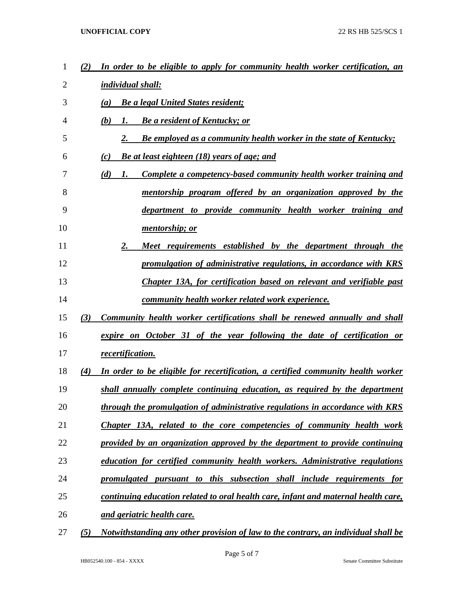| 1  | (2) | In order to be eligible to apply for community health worker certification, an       |
|----|-----|--------------------------------------------------------------------------------------|
| 2  |     | individual shall:                                                                    |
| 3  |     | <b>Be a legal United States resident;</b><br>(a)                                     |
| 4  |     | (b)<br><b>Be a resident of Kentucky; or</b><br>1.                                    |
| 5  |     | <b>Be employed as a community health worker in the state of Kentucky;</b><br>2.      |
| 6  |     | (c)<br><b>Be at least eighteen (18) years of age; and</b>                            |
| 7  |     | (d)<br><b>Complete a competency-based community health worker training and</b><br>1. |
| 8  |     | mentorship program offered by an organization approved by the                        |
| 9  |     | department to provide community health worker training and                           |
| 10 |     | <i>mentorship</i> ; or                                                               |
| 11 |     | 2.<br>Meet requirements established by the department through the                    |
| 12 |     | promulgation of administrative regulations, in accordance with KRS                   |
| 13 |     | Chapter 13A, for certification based on relevant and verifiable past                 |
| 14 |     | <u>community health worker related work experience.</u>                              |
| 15 | (3) | Community health worker certifications shall be renewed annually and shall           |
| 16 |     | expire on October 31 of the year following the date of certification or              |
| 17 |     | recertification.                                                                     |
| 18 | (4) | In order to be eligible for recertification, a certified community health worker     |
| 19 |     | shall annually complete continuing education, as required by the department          |
| 20 |     | through the promulgation of administrative regulations in accordance with KRS        |
| 21 |     | Chapter 13A, related to the core competencies of community health work               |
| 22 |     | provided by an organization approved by the department to provide continuing         |
| 23 |     | education for certified community health workers. Administrative regulations         |
| 24 |     | promulgated pursuant to this subsection shall include requirements for               |
| 25 |     | continuing education related to oral health care, infant and maternal health care,   |
| 26 |     | and geriatric health care.                                                           |
| 27 | (5) | Notwithstanding any other provision of law to the contrary, an individual shall be   |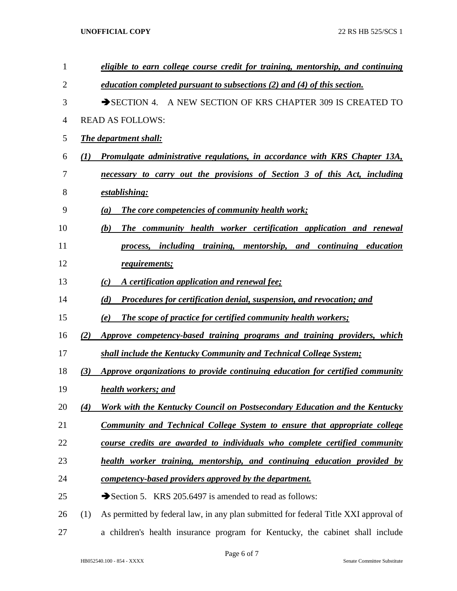| $\mathbf{1}$ |                  | eligible to earn college course credit for training, mentorship, and continuing      |
|--------------|------------------|--------------------------------------------------------------------------------------|
| 2            |                  | education completed pursuant to subsections (2) and (4) of this section.             |
| 3            |                  | SECTION 4. A NEW SECTION OF KRS CHAPTER 309 IS CREATED TO                            |
| 4            |                  | <b>READ AS FOLLOWS:</b>                                                              |
| 5            |                  | <b>The department shall:</b>                                                         |
| 6            | $\mathcal{L}(I)$ | Promulgate administrative regulations, in accordance with KRS Chapter 13A,           |
| 7            |                  | necessary to carry out the provisions of Section 3 of this Act, including            |
| 8            |                  | <u>establishing:</u>                                                                 |
| 9            |                  | <b>The core competencies of community health work;</b><br>(a)                        |
| 10           |                  | The community health worker certification application and renewal<br>(b)             |
| 11           |                  | process, including training, mentorship, and continuing education                    |
| 12           |                  | requirements;                                                                        |
| 13           |                  | A certification application and renewal fee:<br>(c)                                  |
| 14           |                  | Procedures for certification denial, suspension, and revocation; and<br>(d)          |
| 15           |                  | <b>The scope of practice for certified community health workers;</b><br>(e)          |
| 16           | (2)              | Approve competency-based training programs and training providers, which             |
| 17           |                  | shall include the Kentucky Community and Technical College System;                   |
| 18           | (3)              | Approve organizations to provide continuing education for certified community        |
| 19           |                  | health workers; and                                                                  |
| 20           | (4)              | Work with the Kentucky Council on Postsecondary Education and the Kentucky           |
| 21           |                  | <u>Community and Technical College System to ensure that appropriate college</u>     |
| 22           |                  | course credits are awarded to individuals who complete certified community           |
| 23           |                  | health worker training, mentorship, and continuing education provided by             |
| 24           |                  | <u>competency-based providers approved by the department.</u>                        |
| 25           |                  | Section 5. KRS 205.6497 is amended to read as follows:                               |
| 26           | (1)              | As permitted by federal law, in any plan submitted for federal Title XXI approval of |
| 27           |                  | a children's health insurance program for Kentucky, the cabinet shall include        |

Page 6 of 7